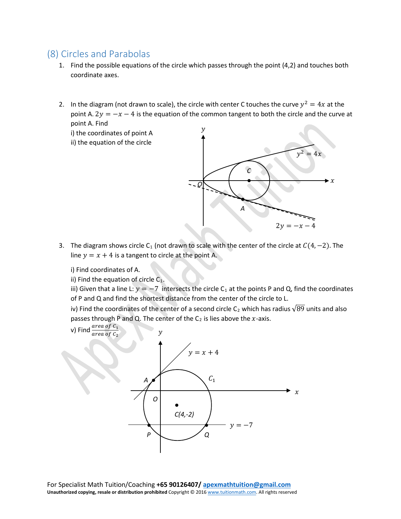## (8) Circles and Parabolas

- 1. Find the possible equations of the circle which passes through the point (4,2) and touches both coordinate axes.
- 2. In the diagram (not drawn to scale), the circle with center C touches the curve  $y^2 = 4x$  at the point A.  $2y = -x - 4$  is the equation of the common tangent to both the circle and the curve at point A. Find

i) the coordinates of point A ii) the equation of the circle



3. The diagram shows circle C<sub>1</sub> (not drawn to scale with the center of the circle at  $C(4, -2)$ . The line  $y = x + 4$  is a tangent to circle at the point A.

i) Find coordinates of A.

ii) Find the equation of circle  $C_1$ .

iii) Given that a line L:  $y = -7$  intersects the circle C<sub>1</sub> at the points P and Q, find the coordinates of P and Q and find the shortest distance from the center of the circle to L.

iv) Find the coordinates of the center of a second circle C<sub>2</sub> which has radius  $\sqrt{89}$  units and also passes through P and Q. The center of the  $C_2$  is lies above the x-axis.

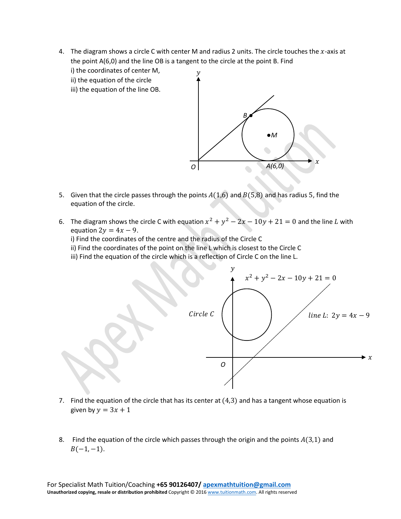- 4. The diagram shows a circle C with center M and radius 2 units. The circle touches the  $x$ -axis at the point A(6,0) and the line OB is a tangent to the circle at the point B. Find
	- i) the coordinates of center M,
	- ii) the equation of the circle
	- iii) the equation of the line OB.



- 5. Given that the circle passes through the points  $A(1,6)$  and  $B(5,8)$  and has radius 5, find the equation of the circle.
- 6. The diagram shows the circle C with equation  $x^2 + y^2 2x 10y + 21 = 0$  and the line L with equation  $2y = 4x - 9$ .

i) Find the coordinates of the centre and the radius of the Circle C

- ii) Find the coordinates of the point on the line L which is closest to the Circle C
- iii) Find the equation of the circle which is a reflection of Circle C on the line L.



- 7. Find the equation of the circle that has its center at  $(4,3)$  and has a tangent whose equation is given by  $y = 3x + 1$
- 8. Find the equation of the circle which passes through the origin and the points  $A(3,1)$  and  $B(-1, -1)$ .